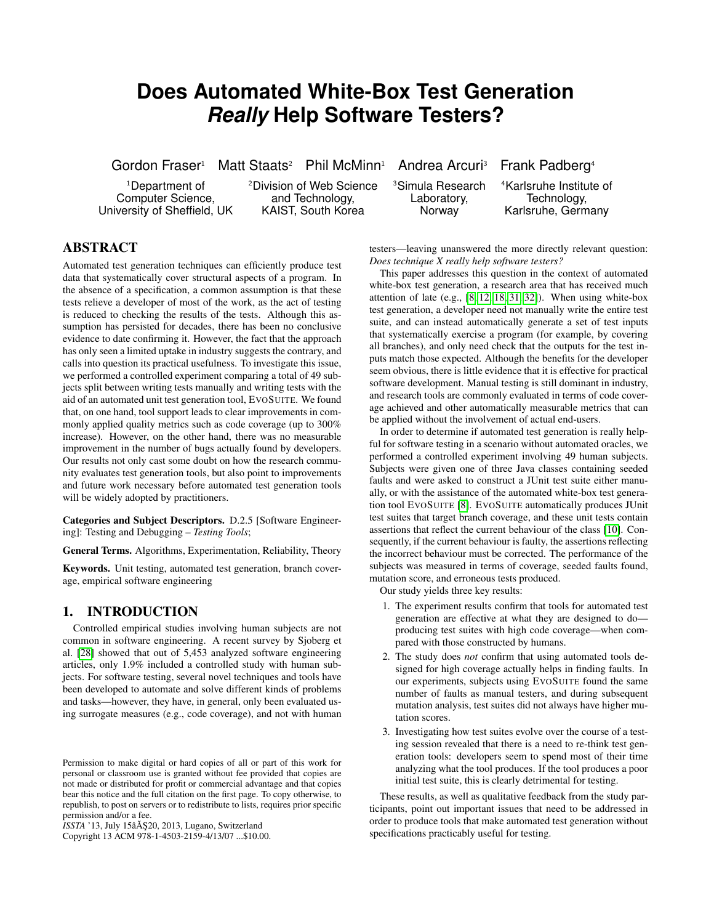# **Does Automated White-Box Test Generation** *Really* **Help Software Testers?**

Gordon Fraser<sup>1</sup> Matt Staats<sup>2</sup> Phil McMinn<sup>1</sup> Andrea Arcuri<sup>3</sup> Frank Padberg<sup>4</sup>

University of Sheffield, UK

<sup>1</sup>Department of <sup>2</sup>Division of Web Science <sup>3</sup>Simula Research  $4$ Karlsruhe Institute of computer Science, and Technology, Laboratory, Technology, Computer Science, and Technology, Laboratory, Technology, computer Science, and Technology, Laboratory, Technology, Technology, and Technology, Laboratory, Technology, and Technology, and Technology, Laboratory, Technology

## ABSTRACT

Automated test generation techniques can efficiently produce test data that systematically cover structural aspects of a program. In the absence of a specification, a common assumption is that these tests relieve a developer of most of the work, as the act of testing is reduced to checking the results of the tests. Although this assumption has persisted for decades, there has been no conclusive evidence to date confirming it. However, the fact that the approach has only seen a limited uptake in industry suggests the contrary, and calls into question its practical usefulness. To investigate this issue, we performed a controlled experiment comparing a total of 49 subjects split between writing tests manually and writing tests with the aid of an automated unit test generation tool, EVOSUITE. We found that, on one hand, tool support leads to clear improvements in commonly applied quality metrics such as code coverage (up to 300% increase). However, on the other hand, there was no measurable improvement in the number of bugs actually found by developers. Our results not only cast some doubt on how the research community evaluates test generation tools, but also point to improvements and future work necessary before automated test generation tools will be widely adopted by practitioners.

Categories and Subject Descriptors. D.2.5 [Software Engineering]: Testing and Debugging – *Testing Tools*;

General Terms. Algorithms, Experimentation, Reliability, Theory

Keywords. Unit testing, automated test generation, branch coverage, empirical software engineering

## 1. INTRODUCTION

Controlled empirical studies involving human subjects are not common in software engineering. A recent survey by Sjoberg et al. [\[28\]](#page-10-0) showed that out of 5,453 analyzed software engineering articles, only 1.9% included a controlled study with human subjects. For software testing, several novel techniques and tools have been developed to automate and solve different kinds of problems and tasks—however, they have, in general, only been evaluated using surrogate measures (e.g., code coverage), and not with human

Copyright 13 ACM 978-1-4503-2159-4/13/07 ...\$10.00.

testers—leaving unanswered the more directly relevant question: *Does technique X really help software testers?*

This paper addresses this question in the context of automated white-box test generation, a research area that has received much attention of late (e.g., [\[8,](#page-10-1) [12,](#page-10-2) [18,](#page-10-3) [31,](#page-10-4) [32\]](#page-10-5)). When using white-box test generation, a developer need not manually write the entire test suite, and can instead automatically generate a set of test inputs that systematically exercise a program (for example, by covering all branches), and only need check that the outputs for the test inputs match those expected. Although the benefits for the developer seem obvious, there is little evidence that it is effective for practical software development. Manual testing is still dominant in industry, and research tools are commonly evaluated in terms of code coverage achieved and other automatically measurable metrics that can be applied without the involvement of actual end-users.

In order to determine if automated test generation is really helpful for software testing in a scenario without automated oracles, we performed a controlled experiment involving 49 human subjects. Subjects were given one of three Java classes containing seeded faults and were asked to construct a JUnit test suite either manually, or with the assistance of the automated white-box test generation tool EVOSUITE [\[8\]](#page-10-1). EVOSUITE automatically produces JUnit test suites that target branch coverage, and these unit tests contain assertions that reflect the current behaviour of the class [\[10\]](#page-10-6). Consequently, if the current behaviour is faulty, the assertions reflecting the incorrect behaviour must be corrected. The performance of the subjects was measured in terms of coverage, seeded faults found, mutation score, and erroneous tests produced.

Our study yields three key results:

- 1. The experiment results confirm that tools for automated test generation are effective at what they are designed to do producing test suites with high code coverage—when compared with those constructed by humans.
- 2. The study does *not* confirm that using automated tools designed for high coverage actually helps in finding faults. In our experiments, subjects using EVOSUITE found the same number of faults as manual testers, and during subsequent mutation analysis, test suites did not always have higher mutation scores.
- 3. Investigating how test suites evolve over the course of a testing session revealed that there is a need to re-think test generation tools: developers seem to spend most of their time analyzing what the tool produces. If the tool produces a poor initial test suite, this is clearly detrimental for testing.

These results, as well as qualitative feedback from the study participants, point out important issues that need to be addressed in order to produce tools that make automated test generation without specifications practicably useful for testing.

Permission to make digital or hard copies of all or part of this work for personal or classroom use is granted without fee provided that copies are not made or distributed for profit or commercial advantage and that copies bear this notice and the full citation on the first page. To copy otherwise, to republish, to post on servers or to redistribute to lists, requires prior specific permission and/or a fee.

*ISSTA* '13, July 15â $\check{A}$ S20, 2013, Lugano, Switzerland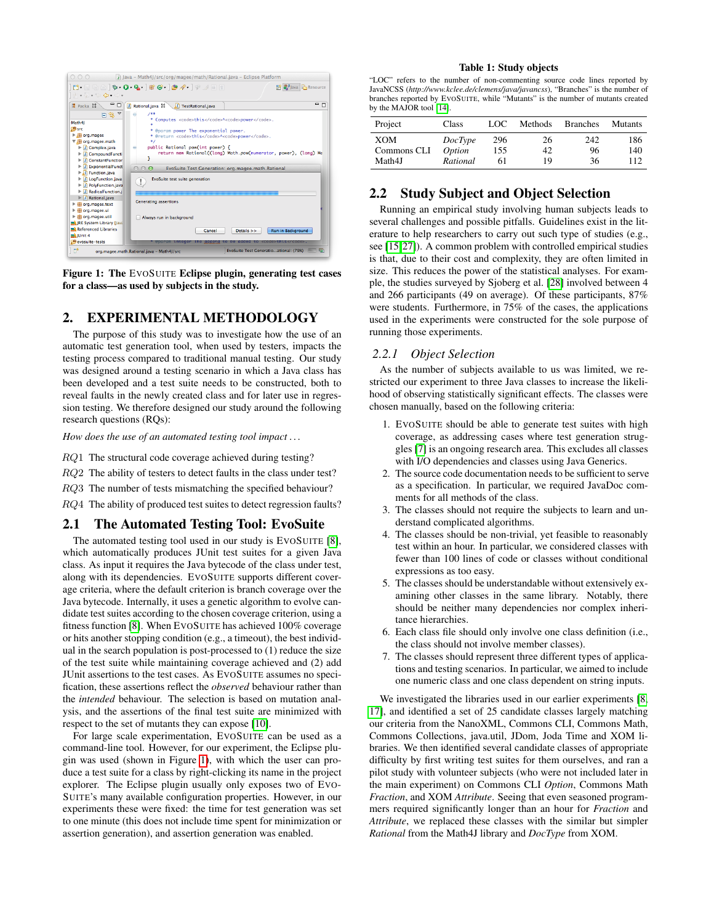

Figure 1: The EVOSUITE Eclipse plugin, generating test cases for a class—as used by subjects in the study.

## <span id="page-1-0"></span>2. EXPERIMENTAL METHODOLOGY

The purpose of this study was to investigate how the use of an automatic test generation tool, when used by testers, impacts the testing process compared to traditional manual testing. Our study was designed around a testing scenario in which a Java class has been developed and a test suite needs to be constructed, both to reveal faults in the newly created class and for later use in regression testing. We therefore designed our study around the following research questions (RQs):

*How does the use of an automated testing tool impact . . .*

RQ1 The structural code coverage achieved during testing?

- RQ2 The ability of testers to detect faults in the class under test?
- RQ3 The number of tests mismatching the specified behaviour?
- RQ4 The ability of produced test suites to detect regression faults?

#### 2.1 The Automated Testing Tool: EvoSuite

The automated testing tool used in our study is EVOSUITE [\[8\]](#page-10-1), which automatically produces JUnit test suites for a given Java class. As input it requires the Java bytecode of the class under test, along with its dependencies. EVOSUITE supports different coverage criteria, where the default criterion is branch coverage over the Java bytecode. Internally, it uses a genetic algorithm to evolve candidate test suites according to the chosen coverage criterion, using a fitness function [\[8\]](#page-10-1). When EVOSUITE has achieved 100% coverage or hits another stopping condition (e.g., a timeout), the best individual in the search population is post-processed to (1) reduce the size of the test suite while maintaining coverage achieved and (2) add JUnit assertions to the test cases. As EVOSUITE assumes no specification, these assertions reflect the *observed* behaviour rather than the *intended* behaviour. The selection is based on mutation analysis, and the assertions of the final test suite are minimized with respect to the set of mutants they can expose [\[10\]](#page-10-6).

For large scale experimentation, EVOSUITE can be used as a command-line tool. However, for our experiment, the Eclipse plugin was used (shown in Figure [1\)](#page-1-0), with which the user can produce a test suite for a class by right-clicking its name in the project explorer. The Eclipse plugin usually only exposes two of EVO-SUITE's many available configuration properties. However, in our experiments these were fixed: the time for test generation was set to one minute (this does not include time spent for minimization or assertion generation), and assertion generation was enabled.

#### <span id="page-1-1"></span>Table 1: Study objects

"LOC" refers to the number of non-commenting source code lines reported by JavaNCSS (*http://www.kclee.de/clemens/java/javancss*), "Branches" is the number of branches reported by EVOSUITE, while "Mutants" is the number of mutants created by the MAJOR tool [\[14\]](#page-10-7).

| Project     | Class          | LOC | Methods | <b>Branches</b> | <b>Mutants</b> |
|-------------|----------------|-----|---------|-----------------|----------------|
| <b>XOM</b>  | <i>DocType</i> | 296 | 26      | 242             | 186            |
| Commons CLI | Option         | 155 | 42      | 96              | 140            |
| Math4J      | Rational       | 61  | 19      | 36              | 112            |

#### 2.2 Study Subject and Object Selection

Running an empirical study involving human subjects leads to several challenges and possible pitfalls. Guidelines exist in the literature to help researchers to carry out such type of studies (e.g., see [\[15,](#page-10-8)[27\]](#page-10-9)). A common problem with controlled empirical studies is that, due to their cost and complexity, they are often limited in size. This reduces the power of the statistical analyses. For example, the studies surveyed by Sjoberg et al. [\[28\]](#page-10-0) involved between 4 and 266 participants (49 on average). Of these participants, 87% were students. Furthermore, in 75% of the cases, the applications used in the experiments were constructed for the sole purpose of running those experiments.

#### *2.2.1 Object Selection*

As the number of subjects available to us was limited, we restricted our experiment to three Java classes to increase the likelihood of observing statistically significant effects. The classes were chosen manually, based on the following criteria:

- 1. EVOSUITE should be able to generate test suites with high coverage, as addressing cases where test generation struggles [\[7\]](#page-10-10) is an ongoing research area. This excludes all classes with I/O dependencies and classes using Java Generics.
- 2. The source code documentation needs to be sufficient to serve as a specification. In particular, we required JavaDoc comments for all methods of the class.
- 3. The classes should not require the subjects to learn and understand complicated algorithms.
- 4. The classes should be non-trivial, yet feasible to reasonably test within an hour. In particular, we considered classes with fewer than 100 lines of code or classes without conditional expressions as too easy.
- 5. The classes should be understandable without extensively examining other classes in the same library. Notably, there should be neither many dependencies nor complex inheritance hierarchies.
- 6. Each class file should only involve one class definition (i.e., the class should not involve member classes).
- 7. The classes should represent three different types of applications and testing scenarios. In particular, we aimed to include one numeric class and one class dependent on string inputs.

We investigated the libraries used in our earlier experiments [\[8,](#page-10-1) [17\]](#page-10-11), and identified a set of 25 candidate classes largely matching our criteria from the NanoXML, Commons CLI, Commons Math, Commons Collections, java.util, JDom, Joda Time and XOM libraries. We then identified several candidate classes of appropriate difficulty by first writing test suites for them ourselves, and ran a pilot study with volunteer subjects (who were not included later in the main experiment) on Commons CLI *Option*, Commons Math *Fraction*, and XOM *Attribute*. Seeing that even seasoned programmers required significantly longer than an hour for *Fraction* and *Attribute*, we replaced these classes with the similar but simpler *Rational* from the Math4J library and *DocType* from XOM.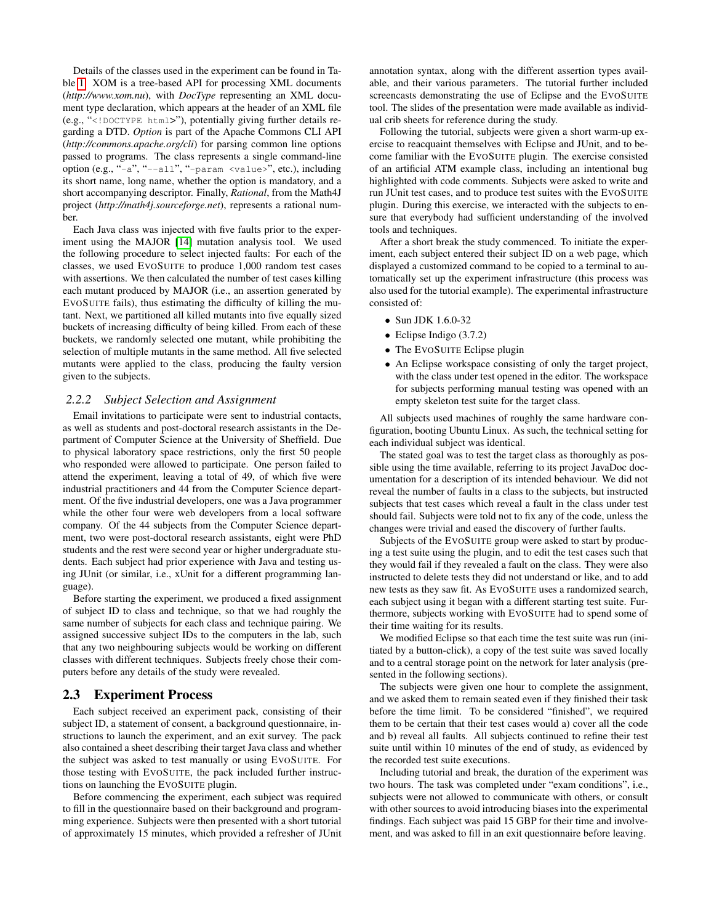Details of the classes used in the experiment can be found in Table [1.](#page-1-1) XOM is a tree-based API for processing XML documents (*http://www.xom.nu*), with *DocType* representing an XML document type declaration, which appears at the header of an XML file (e.g., "<!DOCTYPE html>"), potentially giving further details regarding a DTD. *Option* is part of the Apache Commons CLI API (*http://commons.apache.org/cli*) for parsing common line options passed to programs. The class represents a single command-line option (e.g., "-a", "--all", "-param <value>", etc.), including its short name, long name, whether the option is mandatory, and a short accompanying descriptor. Finally, *Rational*, from the Math4J project (*http://math4j.sourceforge.net*), represents a rational number.

Each Java class was injected with five faults prior to the experiment using the MAJOR [\[14\]](#page-10-7) mutation analysis tool. We used the following procedure to select injected faults: For each of the classes, we used EVOSUITE to produce 1,000 random test cases with assertions. We then calculated the number of test cases killing each mutant produced by MAJOR (i.e., an assertion generated by EVOSUITE fails), thus estimating the difficulty of killing the mutant. Next, we partitioned all killed mutants into five equally sized buckets of increasing difficulty of being killed. From each of these buckets, we randomly selected one mutant, while prohibiting the selection of multiple mutants in the same method. All five selected mutants were applied to the class, producing the faulty version given to the subjects.

#### *2.2.2 Subject Selection and Assignment*

Email invitations to participate were sent to industrial contacts, as well as students and post-doctoral research assistants in the Department of Computer Science at the University of Sheffield. Due to physical laboratory space restrictions, only the first 50 people who responded were allowed to participate. One person failed to attend the experiment, leaving a total of 49, of which five were industrial practitioners and 44 from the Computer Science department. Of the five industrial developers, one was a Java programmer while the other four were web developers from a local software company. Of the 44 subjects from the Computer Science department, two were post-doctoral research assistants, eight were PhD students and the rest were second year or higher undergraduate students. Each subject had prior experience with Java and testing using JUnit (or similar, i.e., xUnit for a different programming language).

Before starting the experiment, we produced a fixed assignment of subject ID to class and technique, so that we had roughly the same number of subjects for each class and technique pairing. We assigned successive subject IDs to the computers in the lab, such that any two neighbouring subjects would be working on different classes with different techniques. Subjects freely chose their computers before any details of the study were revealed.

#### 2.3 Experiment Process

Each subject received an experiment pack, consisting of their subject ID, a statement of consent, a background questionnaire, instructions to launch the experiment, and an exit survey. The pack also contained a sheet describing their target Java class and whether the subject was asked to test manually or using EVOSUITE. For those testing with EVOSUITE, the pack included further instructions on launching the EVOSUITE plugin.

Before commencing the experiment, each subject was required to fill in the questionnaire based on their background and programming experience. Subjects were then presented with a short tutorial of approximately 15 minutes, which provided a refresher of JUnit annotation syntax, along with the different assertion types available, and their various parameters. The tutorial further included screencasts demonstrating the use of Eclipse and the EVOSUITE tool. The slides of the presentation were made available as individual crib sheets for reference during the study.

Following the tutorial, subjects were given a short warm-up exercise to reacquaint themselves with Eclipse and JUnit, and to become familiar with the EVOSUITE plugin. The exercise consisted of an artificial ATM example class, including an intentional bug highlighted with code comments. Subjects were asked to write and run JUnit test cases, and to produce test suites with the EVOSUITE plugin. During this exercise, we interacted with the subjects to ensure that everybody had sufficient understanding of the involved tools and techniques.

After a short break the study commenced. To initiate the experiment, each subject entered their subject ID on a web page, which displayed a customized command to be copied to a terminal to automatically set up the experiment infrastructure (this process was also used for the tutorial example). The experimental infrastructure consisted of:

- Sun JDK 1.6.0-32
- Eclipse Indigo (3.7.2)
- The EVOSUITE Eclipse plugin
- An Eclipse workspace consisting of only the target project, with the class under test opened in the editor. The workspace for subjects performing manual testing was opened with an empty skeleton test suite for the target class.

All subjects used machines of roughly the same hardware configuration, booting Ubuntu Linux. As such, the technical setting for each individual subject was identical.

The stated goal was to test the target class as thoroughly as possible using the time available, referring to its project JavaDoc documentation for a description of its intended behaviour. We did not reveal the number of faults in a class to the subjects, but instructed subjects that test cases which reveal a fault in the class under test should fail. Subjects were told not to fix any of the code, unless the changes were trivial and eased the discovery of further faults.

Subjects of the EVOSUITE group were asked to start by producing a test suite using the plugin, and to edit the test cases such that they would fail if they revealed a fault on the class. They were also instructed to delete tests they did not understand or like, and to add new tests as they saw fit. As EVOSUITE uses a randomized search, each subject using it began with a different starting test suite. Furthermore, subjects working with EVOSUITE had to spend some of their time waiting for its results.

We modified Eclipse so that each time the test suite was run (initiated by a button-click), a copy of the test suite was saved locally and to a central storage point on the network for later analysis (presented in the following sections).

The subjects were given one hour to complete the assignment, and we asked them to remain seated even if they finished their task before the time limit. To be considered "finished", we required them to be certain that their test cases would a) cover all the code and b) reveal all faults. All subjects continued to refine their test suite until within 10 minutes of the end of study, as evidenced by the recorded test suite executions.

Including tutorial and break, the duration of the experiment was two hours. The task was completed under "exam conditions", i.e., subjects were not allowed to communicate with others, or consult with other sources to avoid introducing biases into the experimental findings. Each subject was paid 15 GBP for their time and involvement, and was asked to fill in an exit questionnaire before leaving.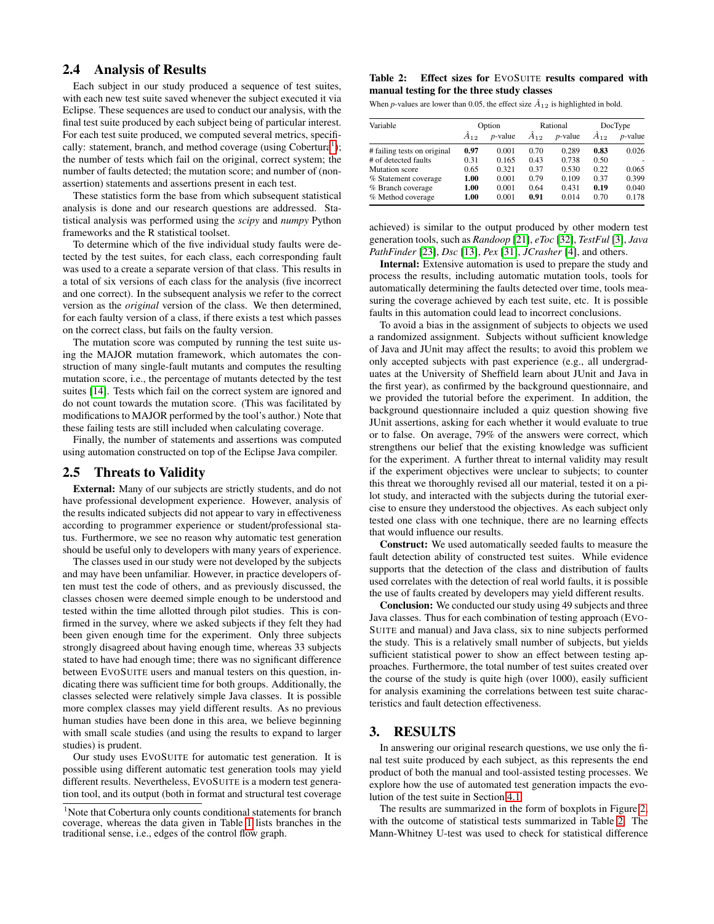## 2.4 Analysis of Results

Each subject in our study produced a sequence of test suites, with each new test suite saved whenever the subject executed it via Eclipse. These sequences are used to conduct our analysis, with the final test suite produced by each subject being of particular interest. For each test suite produced, we computed several metrics, specifi-cally: statement, branch, and method coverage (using Cobertura<sup>[1](#page-3-0)</sup>); the number of tests which fail on the original, correct system; the number of faults detected; the mutation score; and number of (nonassertion) statements and assertions present in each test.

These statistics form the base from which subsequent statistical analysis is done and our research questions are addressed. Statistical analysis was performed using the *scipy* and *numpy* Python frameworks and the R statistical toolset.

To determine which of the five individual study faults were detected by the test suites, for each class, each corresponding fault was used to a create a separate version of that class. This results in a total of six versions of each class for the analysis (five incorrect and one correct). In the subsequent analysis we refer to the correct version as the *original* version of the class. We then determined, for each faulty version of a class, if there exists a test which passes on the correct class, but fails on the faulty version.

The mutation score was computed by running the test suite using the MAJOR mutation framework, which automates the construction of many single-fault mutants and computes the resulting mutation score, i.e., the percentage of mutants detected by the test suites [\[14\]](#page-10-7). Tests which fail on the correct system are ignored and do not count towards the mutation score. (This was facilitated by modifications to MAJOR performed by the tool's author.) Note that these failing tests are still included when calculating coverage.

Finally, the number of statements and assertions was computed using automation constructed on top of the Eclipse Java compiler.

#### 2.5 Threats to Validity

External: Many of our subjects are strictly students, and do not have professional development experience. However, analysis of the results indicated subjects did not appear to vary in effectiveness according to programmer experience or student/professional status. Furthermore, we see no reason why automatic test generation should be useful only to developers with many years of experience.

The classes used in our study were not developed by the subjects and may have been unfamiliar. However, in practice developers often must test the code of others, and as previously discussed, the classes chosen were deemed simple enough to be understood and tested within the time allotted through pilot studies. This is confirmed in the survey, where we asked subjects if they felt they had been given enough time for the experiment. Only three subjects strongly disagreed about having enough time, whereas 33 subjects stated to have had enough time; there was no significant difference between EVOSUITE users and manual testers on this question, indicating there was sufficient time for both groups. Additionally, the classes selected were relatively simple Java classes. It is possible more complex classes may yield different results. As no previous human studies have been done in this area, we believe beginning with small scale studies (and using the results to expand to larger studies) is prudent.

Our study uses EVOSUITE for automatic test generation. It is possible using different automatic test generation tools may yield different results. Nevertheless, EVOSUITE is a modern test generation tool, and its output (both in format and structural test coverage

#### <span id="page-3-1"></span>Table 2: Effect sizes for EVOSUITE results compared with manual testing for the three study classes

When *p*-values are lower than 0.05, the effect size  $\hat{A}_{12}$  is highlighted in bold.

| Variable                    | Option   |            | Rational |            | DocType  |            |
|-----------------------------|----------|------------|----------|------------|----------|------------|
|                             | $A_{12}$ | $p$ -value | $A_{12}$ | $p$ -value | $A_{12}$ | $p$ -value |
| # failing tests on original | 0.97     | 0.001      | 0.70     | 0.289      | 0.83     | 0.026      |
| # of detected faults        | 0.31     | 0.165      | 0.43     | 0.738      | 0.50     |            |
| <b>Mutation</b> score       | 0.65     | 0.321      | 0.37     | 0.530      | 0.22     | 0.065      |
| % Statement coverage        | 1.00     | 0.001      | 0.79     | 0.109      | 0.37     | 0.399      |
| % Branch coverage           | 1.00     | 0.001      | 0.64     | 0.431      | 0.19     | 0.040      |
| % Method coverage           | 1.00     | 0.001      | 0.91     | 0.014      | 0.70     | 0.178      |

achieved) is similar to the output produced by other modern test generation tools, such as *Randoop* [\[21\]](#page-10-12), *eToc* [\[32\]](#page-10-5), *TestFul* [\[3\]](#page-10-13), *Java PathFinder* [\[23\]](#page-10-14), *Dsc* [\[13\]](#page-10-15), *Pex* [\[31\]](#page-10-4), *JCrasher* [\[4\]](#page-10-16), and others.

Internal: Extensive automation is used to prepare the study and process the results, including automatic mutation tools, tools for automatically determining the faults detected over time, tools measuring the coverage achieved by each test suite, etc. It is possible faults in this automation could lead to incorrect conclusions.

To avoid a bias in the assignment of subjects to objects we used a randomized assignment. Subjects without sufficient knowledge of Java and JUnit may affect the results; to avoid this problem we only accepted subjects with past experience (e.g., all undergraduates at the University of Sheffield learn about JUnit and Java in the first year), as confirmed by the background questionnaire, and we provided the tutorial before the experiment. In addition, the background questionnaire included a quiz question showing five JUnit assertions, asking for each whether it would evaluate to true or to false. On average, 79% of the answers were correct, which strengthens our belief that the existing knowledge was sufficient for the experiment. A further threat to internal validity may result if the experiment objectives were unclear to subjects; to counter this threat we thoroughly revised all our material, tested it on a pilot study, and interacted with the subjects during the tutorial exercise to ensure they understood the objectives. As each subject only tested one class with one technique, there are no learning effects that would influence our results.

Construct: We used automatically seeded faults to measure the fault detection ability of constructed test suites. While evidence supports that the detection of the class and distribution of faults used correlates with the detection of real world faults, it is possible the use of faults created by developers may yield different results.

Conclusion: We conducted our study using 49 subjects and three Java classes. Thus for each combination of testing approach (EVO-SUITE and manual) and Java class, six to nine subjects performed the study. This is a relatively small number of subjects, but yields sufficient statistical power to show an effect between testing approaches. Furthermore, the total number of test suites created over the course of the study is quite high (over 1000), easily sufficient for analysis examining the correlations between test suite characteristics and fault detection effectiveness.

## <span id="page-3-2"></span>3. RESULTS

In answering our original research questions, we use only the final test suite produced by each subject, as this represents the end product of both the manual and tool-assisted testing processes. We explore how the use of automated test generation impacts the evolution of the test suite in Section [4.1.](#page-6-0)

The results are summarized in the form of boxplots in Figure [2,](#page-4-0) with the outcome of statistical tests summarized in Table [2.](#page-3-1) The Mann-Whitney U-test was used to check for statistical difference

<span id="page-3-0"></span><sup>&</sup>lt;sup>1</sup>Note that Cobertura only counts conditional statements for branch coverage, whereas the data given in Table [1](#page-1-1) lists branches in the traditional sense, i.e., edges of the control flow graph.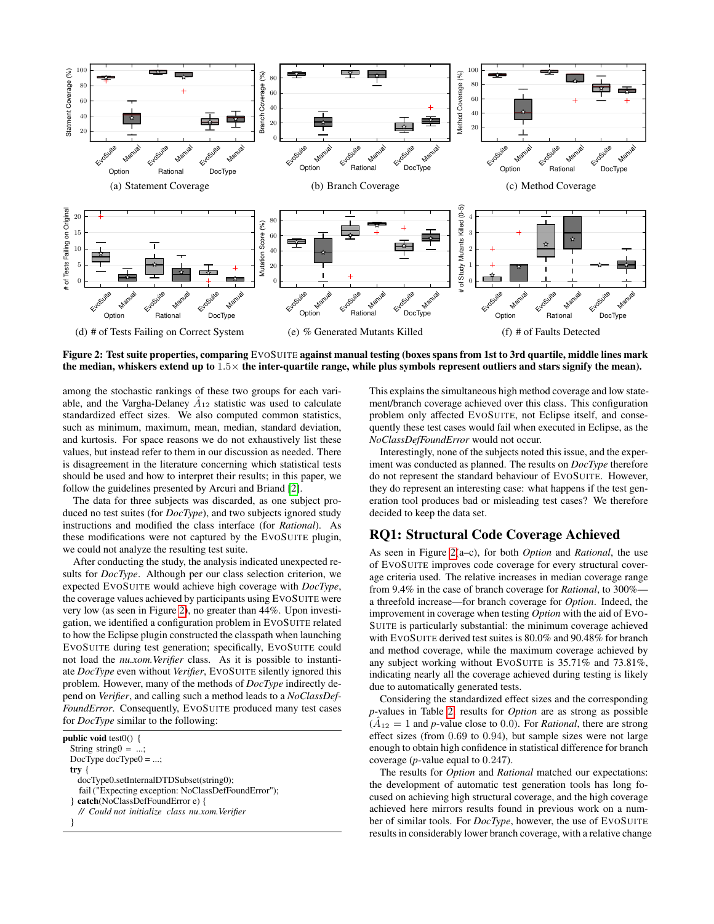

<span id="page-4-2"></span><span id="page-4-0"></span>Figure 2: Test suite properties, comparing EVOSUITE against manual testing (boxes spans from 1st to 3rd quartile, middle lines mark the median, whiskers extend up to  $1.5\times$  the inter-quartile range, while plus symbols represent outliers and stars signify the mean).

among the stochastic rankings of these two groups for each variable, and the Vargha-Delaney  $\hat{A}_{12}$  statistic was used to calculate standardized effect sizes. We also computed common statistics, such as minimum, maximum, mean, median, standard deviation, and kurtosis. For space reasons we do not exhaustively list these values, but instead refer to them in our discussion as needed. There is disagreement in the literature concerning which statistical tests should be used and how to interpret their results; in this paper, we follow the guidelines presented by Arcuri and Briand [\[2\]](#page-10-17).

The data for three subjects was discarded, as one subject produced no test suites (for *DocType*), and two subjects ignored study instructions and modified the class interface (for *Rational*). As these modifications were not captured by the EVOSUITE plugin, we could not analyze the resulting test suite.

After conducting the study, the analysis indicated unexpected results for *DocType*. Although per our class selection criterion, we expected EVOSUITE would achieve high coverage with *DocType*, the coverage values achieved by participants using EVOSUITE were very low (as seen in Figure [2\)](#page-4-0), no greater than 44%. Upon investigation, we identified a configuration problem in EVOSUITE related to how the Eclipse plugin constructed the classpath when launching EVOSUITE during test generation; specifically, EVOSUITE could not load the *nu.xom.Verifier* class. As it is possible to instantiate *DocType* even without *Verifier*, EVOSUITE silently ignored this problem. However, many of the methods of *DocType* indirectly depend on *Verifier*, and calling such a method leads to a *NoClassDef-FoundError*. Consequently, EVOSUITE produced many test cases for *DocType* similar to the following:

public void test0() { String string $0 = ...;$ DocType docType0 = ...; try { docType0.setInternalDTDSubset(string0); fail ("Expecting exception: NoClassDefFoundError"); } catch(NoClassDefFoundError e) { *// Could not initialize class nu.xom.Verifier* }

<span id="page-4-3"></span><span id="page-4-1"></span>This explains the simultaneous high method coverage and low statement/branch coverage achieved over this class. This configuration problem only affected EVOSUITE, not Eclipse itself, and consequently these test cases would fail when executed in Eclipse, as the *NoClassDefFoundError* would not occur.

Interestingly, none of the subjects noted this issue, and the experiment was conducted as planned. The results on *DocType* therefore do not represent the standard behaviour of EVOSUITE. However, they do represent an interesting case: what happens if the test generation tool produces bad or misleading test cases? We therefore decided to keep the data set.

## RQ1: Structural Code Coverage Achieved

As seen in Figure [2\(](#page-4-0)a–c), for both *Option* and *Rational*, the use of EVOSUITE improves code coverage for every structural coverage criteria used. The relative increases in median coverage range from 9.4% in the case of branch coverage for *Rational*, to 300% a threefold increase—for branch coverage for *Option*. Indeed, the improvement in coverage when testing *Option* with the aid of EVO-SUITE is particularly substantial: the minimum coverage achieved with EVOSUITE derived test suites is 80.0% and 90.48% for branch and method coverage, while the maximum coverage achieved by any subject working without EVOSUITE is 35.71% and 73.81%, indicating nearly all the coverage achieved during testing is likely due to automatically generated tests.

Considering the standardized effect sizes and the corresponding *p*-values in Table [2,](#page-3-1) results for *Option* are as strong as possible  $(\hat{A}_{12} = 1$  and *p*-value close to 0.0). For *Rational*, there are strong effect sizes (from 0.69 to 0.94), but sample sizes were not large enough to obtain high confidence in statistical difference for branch coverage (*p*-value equal to 0.247).

The results for *Option* and *Rational* matched our expectations: the development of automatic test generation tools has long focused on achieving high structural coverage, and the high coverage achieved here mirrors results found in previous work on a number of similar tools. For *DocType*, however, the use of EVOSUITE results in considerably lower branch coverage, with a relative change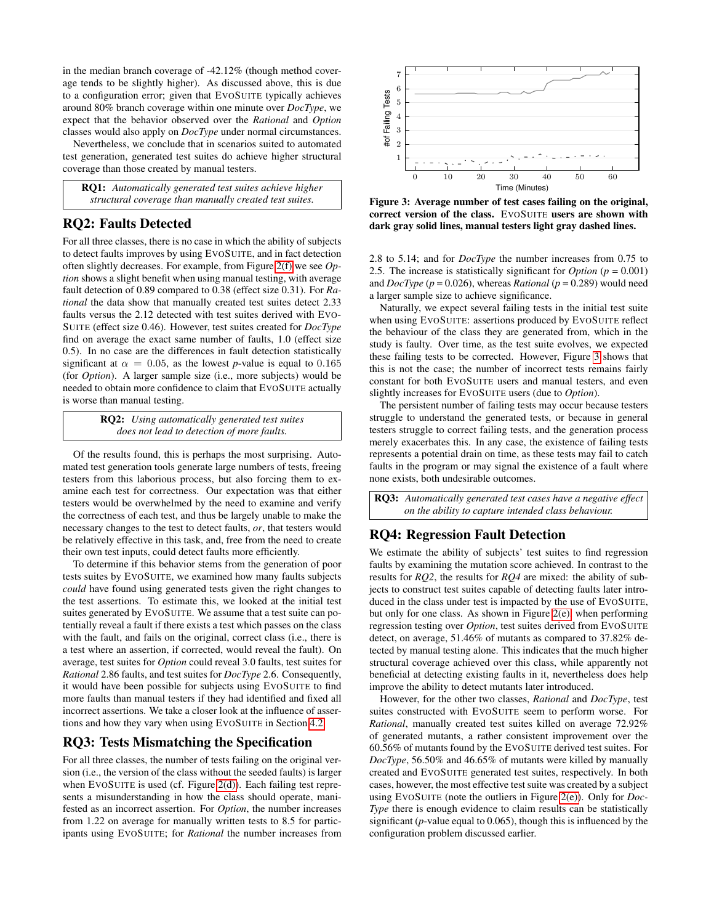in the median branch coverage of -42.12% (though method coverage tends to be slightly higher). As discussed above, this is due to a configuration error; given that EVOSUITE typically achieves around 80% branch coverage within one minute over *DocType*, we expect that the behavior observed over the *Rational* and *Option* classes would also apply on *DocType* under normal circumstances.

Nevertheless, we conclude that in scenarios suited to automated test generation, generated test suites do achieve higher structural coverage than those created by manual testers.

RQ1: *Automatically generated test suites achieve higher structural coverage than manually created test suites.*

## <span id="page-5-1"></span>RQ2: Faults Detected

For all three classes, there is no case in which the ability of subjects to detect faults improves by using EVOSUITE, and in fact detection often slightly decreases. For example, from Figure [2\(f\)](#page-4-1) we see *Option* shows a slight benefit when using manual testing, with average fault detection of 0.89 compared to 0.38 (effect size 0.31). For *Rational* the data show that manually created test suites detect 2.33 faults versus the 2.12 detected with test suites derived with EVO-SUITE (effect size 0.46). However, test suites created for *DocType* find on average the exact same number of faults, 1.0 (effect size 0.5). In no case are the differences in fault detection statistically significant at  $\alpha = 0.05$ , as the lowest *p*-value is equal to 0.165 (for *Option*). A larger sample size (i.e., more subjects) would be needed to obtain more confidence to claim that EVOSUITE actually is worse than manual testing.

> RQ2: *Using automatically generated test suites does not lead to detection of more faults.*

Of the results found, this is perhaps the most surprising. Automated test generation tools generate large numbers of tests, freeing testers from this laborious process, but also forcing them to examine each test for correctness. Our expectation was that either testers would be overwhelmed by the need to examine and verify the correctness of each test, and thus be largely unable to make the necessary changes to the test to detect faults, *or*, that testers would be relatively effective in this task, and, free from the need to create their own test inputs, could detect faults more efficiently.

To determine if this behavior stems from the generation of poor tests suites by EVOSUITE, we examined how many faults subjects *could* have found using generated tests given the right changes to the test assertions. To estimate this, we looked at the initial test suites generated by EVOSUITE. We assume that a test suite can potentially reveal a fault if there exists a test which passes on the class with the fault, and fails on the original, correct class (i.e., there is a test where an assertion, if corrected, would reveal the fault). On average, test suites for *Option* could reveal 3.0 faults, test suites for *Rational* 2.86 faults, and test suites for *DocType* 2.6. Consequently, it would have been possible for subjects using EVOSUITE to find more faults than manual testers if they had identified and fixed all incorrect assertions. We take a closer look at the influence of assertions and how they vary when using EVOSUITE in Section [4.2.](#page-8-0)

## RQ3: Tests Mismatching the Specification

For all three classes, the number of tests failing on the original version (i.e., the version of the class without the seeded faults) is larger when EVOSUITE is used (cf. Figure  $2(d)$ ). Each failing test represents a misunderstanding in how the class should operate, manifested as an incorrect assertion. For *Option*, the number increases from 1.22 on average for manually written tests to 8.5 for participants using EVOSUITE; for *Rational* the number increases from



<span id="page-5-0"></span>Figure 3: Average number of test cases failing on the original, correct version of the class. EVOSUITE users are shown with dark gray solid lines, manual testers light gray dashed lines.

2.8 to 5.14; and for *DocType* the number increases from 0.75 to 2.5. The increase is statistically significant for *Option* (*p* = 0.001) and  $DocType$  ( $p = 0.026$ ), whereas *Rational* ( $p = 0.289$ ) would need a larger sample size to achieve significance.

Naturally, we expect several failing tests in the initial test suite when using EVOSUITE: assertions produced by EVOSUITE reflect the behaviour of the class they are generated from, which in the study is faulty. Over time, as the test suite evolves, we expected these failing tests to be corrected. However, Figure [3](#page-5-0) shows that this is not the case; the number of incorrect tests remains fairly constant for both EVOSUITE users and manual testers, and even slightly increases for EVOSUITE users (due to *Option*).

The persistent number of failing tests may occur because testers struggle to understand the generated tests, or because in general testers struggle to correct failing tests, and the generation process merely exacerbates this. In any case, the existence of failing tests represents a potential drain on time, as these tests may fail to catch faults in the program or may signal the existence of a fault where none exists, both undesirable outcomes.

RQ3: *Automatically generated test cases have a negative effect on the ability to capture intended class behaviour.*

## RQ4: Regression Fault Detection

We estimate the ability of subjects' test suites to find regression faults by examining the mutation score achieved. In contrast to the results for *RQ2*, the results for *RQ4* are mixed: the ability of subjects to construct test suites capable of detecting faults later introduced in the class under test is impacted by the use of EVOSUITE, but only for one class. As shown in Figure [2\(e\),](#page-4-3) when performing regression testing over *Option*, test suites derived from EVOSUITE detect, on average, 51.46% of mutants as compared to 37.82% detected by manual testing alone. This indicates that the much higher structural coverage achieved over this class, while apparently not beneficial at detecting existing faults in it, nevertheless does help improve the ability to detect mutants later introduced.

However, for the other two classes, *Rational* and *DocType*, test suites constructed with EVOSUITE seem to perform worse. For *Rational*, manually created test suites killed on average 72.92% of generated mutants, a rather consistent improvement over the 60.56% of mutants found by the EVOSUITE derived test suites. For *DocType*, 56.50% and 46.65% of mutants were killed by manually created and EVOSUITE generated test suites, respectively. In both cases, however, the most effective test suite was created by a subject using EVOSUITE (note the outliers in Figure [2\(e\)\)](#page-4-3). Only for *Doc-Type* there is enough evidence to claim results can be statistically significant (*p*-value equal to 0.065), though this is influenced by the configuration problem discussed earlier.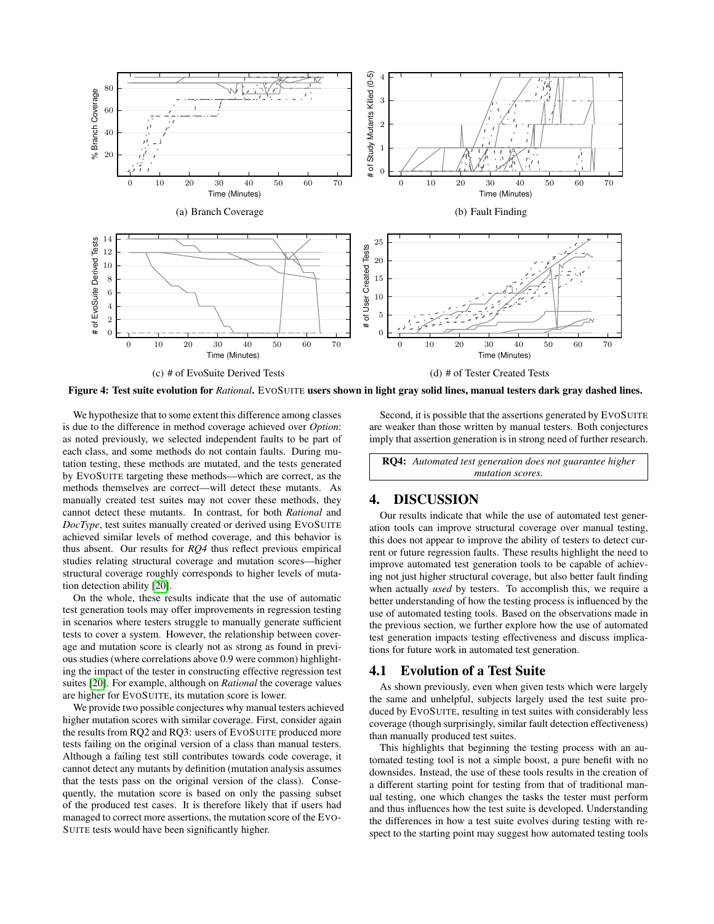

<span id="page-6-1"></span>Figure 4: Test suite evolution for *Rational*. EVOSUITE users shown in light gray solid lines, manual testers dark gray dashed lines.

We hypothesize that to some extent this difference among classes is due to the difference in method coverage achieved over *Option*: as noted previously, we selected independent faults to be part of each class, and some methods do not contain faults. During mutation testing, these methods are mutated, and the tests generated by EVOSUITE targeting these methods—which are correct, as the methods themselves are correct—will detect these mutants. As manually created test suites may not cover these methods, they cannot detect these mutants. In contrast, for both *Rational* and *DocType*, test suites manually created or derived using EVOSUITE achieved similar levels of method coverage, and this behavior is thus absent. Our results for *RQ4* thus reflect previous empirical studies relating structural coverage and mutation scores—higher structural coverage roughly corresponds to higher levels of mutation detection ability [\[20\]](#page-10-18).

On the whole, these results indicate that the use of automatic test generation tools may offer improvements in regression testing in scenarios where testers struggle to manually generate sufficient tests to cover a system. However, the relationship between coverage and mutation score is clearly not as strong as found in previous studies (where correlations above 0.9 were common) highlighting the impact of the tester in constructing effective regression test suites [\[20\]](#page-10-18). For example, although on *Rational* the coverage values are higher for EVOSUITE, its mutation score is lower.

We provide two possible conjectures why manual testers achieved higher mutation scores with similar coverage. First, consider again the results from RQ2 and RQ3: users of EVOSUITE produced more tests failing on the original version of a class than manual testers. Although a failing test still contributes towards code coverage, it cannot detect any mutants by definition (mutation analysis assumes that the tests pass on the original version of the class). Consequently, the mutation score is based on only the passing subset of the produced test cases. It is therefore likely that if users had managed to correct more assertions, the mutation score of the EVO-SUITE tests would have been significantly higher.

Second, it is possible that the assertions generated by EVOSUITE are weaker than those written by manual testers. Both conjectures imply that assertion generation is in strong need of further research.

RQ4: *Automated test generation does not guarantee higher mutation scores.*

## 4. DISCUSSION

Our results indicate that while the use of automated test generation tools can improve structural coverage over manual testing, this does not appear to improve the ability of testers to detect current or future regression faults. These results highlight the need to improve automated test generation tools to be capable of achieving not just higher structural coverage, but also better fault finding when actually *used* by testers. To accomplish this, we require a better understanding of how the testing process is influenced by the use of automated testing tools. Based on the observations made in the previous section, we further explore how the use of automated test generation impacts testing effectiveness and discuss implications for future work in automated test generation.

#### <span id="page-6-0"></span>4.1 Evolution of a Test Suite

As shown previously, even when given tests which were largely the same and unhelpful, subjects largely used the test suite produced by EVOSUITE, resulting in test suites with considerably less coverage (though surprisingly, similar fault detection effectiveness) than manually produced test suites.

This highlights that beginning the testing process with an automated testing tool is not a simple boost, a pure benefit with no downsides. Instead, the use of these tools results in the creation of a different starting point for testing from that of traditional manual testing, one which changes the tasks the tester must perform and thus influences how the test suite is developed. Understanding the differences in how a test suite evolves during testing with respect to the starting point may suggest how automated testing tools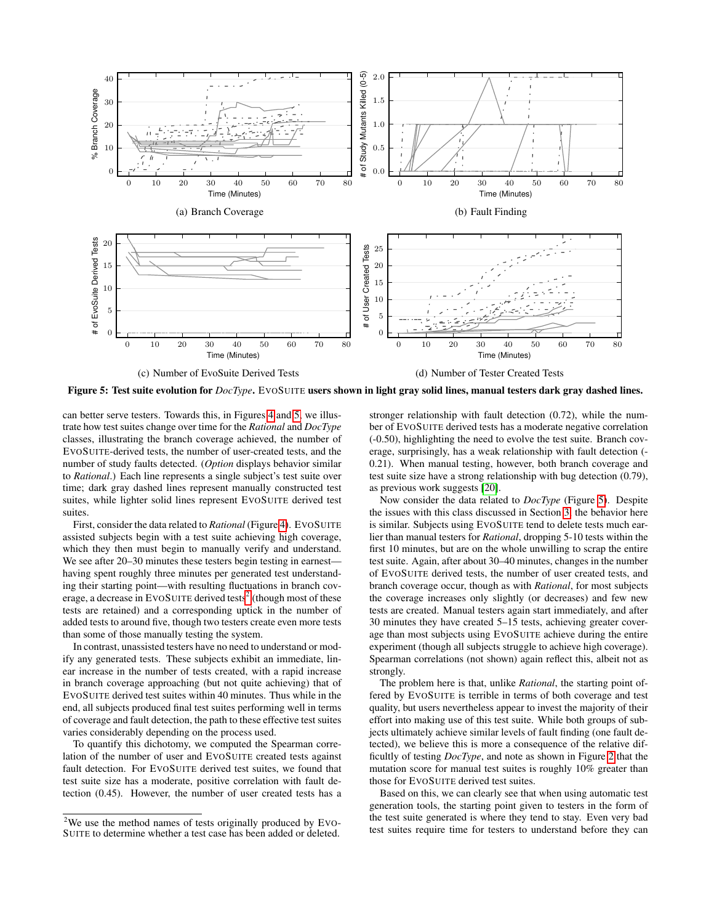

<span id="page-7-0"></span>Figure 5: Test suite evolution for *DocType*. EVOSUITE users shown in light gray solid lines, manual testers dark gray dashed lines.

can better serve testers. Towards this, in Figures [4](#page-6-1) and [5,](#page-7-0) we illustrate how test suites change over time for the *Rational* and *DocType* classes, illustrating the branch coverage achieved, the number of EVOSUITE-derived tests, the number of user-created tests, and the number of study faults detected. (*Option* displays behavior similar to *Rational*.) Each line represents a single subject's test suite over time; dark gray dashed lines represent manually constructed test suites, while lighter solid lines represent EVOSUITE derived test suites.

First, consider the data related to *Rational* (Figure [4\)](#page-6-1). EVOSUITE assisted subjects begin with a test suite achieving high coverage, which they then must begin to manually verify and understand. We see after 20–30 minutes these testers begin testing in earnest having spent roughly three minutes per generated test understanding their starting point—with resulting fluctuations in branch cov-erage, a decrease in EVOSUITE derived tests<sup>[2](#page-7-1)</sup> (though most of these tests are retained) and a corresponding uptick in the number of added tests to around five, though two testers create even more tests than some of those manually testing the system.

In contrast, unassisted testers have no need to understand or modify any generated tests. These subjects exhibit an immediate, linear increase in the number of tests created, with a rapid increase in branch coverage approaching (but not quite achieving) that of EVOSUITE derived test suites within 40 minutes. Thus while in the end, all subjects produced final test suites performing well in terms of coverage and fault detection, the path to these effective test suites varies considerably depending on the process used.

To quantify this dichotomy, we computed the Spearman correlation of the number of user and EVOSUITE created tests against fault detection. For EVOSUITE derived test suites, we found that test suite size has a moderate, positive correlation with fault detection (0.45). However, the number of user created tests has a stronger relationship with fault detection (0.72), while the number of EVOSUITE derived tests has a moderate negative correlation (-0.50), highlighting the need to evolve the test suite. Branch coverage, surprisingly, has a weak relationship with fault detection (- 0.21). When manual testing, however, both branch coverage and test suite size have a strong relationship with bug detection (0.79), as previous work suggests [\[20\]](#page-10-18).

Now consider the data related to *DocType* (Figure [5\)](#page-7-0). Despite the issues with this class discussed in Section [3,](#page-3-2) the behavior here is similar. Subjects using EVOSUITE tend to delete tests much earlier than manual testers for *Rational*, dropping 5-10 tests within the first 10 minutes, but are on the whole unwilling to scrap the entire test suite. Again, after about 30–40 minutes, changes in the number of EVOSUITE derived tests, the number of user created tests, and branch coverage occur, though as with *Rational*, for most subjects the coverage increases only slightly (or decreases) and few new tests are created. Manual testers again start immediately, and after 30 minutes they have created 5–15 tests, achieving greater coverage than most subjects using EVOSUITE achieve during the entire experiment (though all subjects struggle to achieve high coverage). Spearman correlations (not shown) again reflect this, albeit not as strongly.

The problem here is that, unlike *Rational*, the starting point offered by EVOSUITE is terrible in terms of both coverage and test quality, but users nevertheless appear to invest the majority of their effort into making use of this test suite. While both groups of subjects ultimately achieve similar levels of fault finding (one fault detected), we believe this is more a consequence of the relative difficultly of testing *DocType*, and note as shown in Figure [2](#page-4-0) that the mutation score for manual test suites is roughly 10% greater than those for EVOSUITE derived test suites.

Based on this, we can clearly see that when using automatic test generation tools, the starting point given to testers in the form of the test suite generated is where they tend to stay. Even very bad test suites require time for testers to understand before they can

<span id="page-7-1"></span><sup>&</sup>lt;sup>2</sup>We use the method names of tests originally produced by EVO-SUITE to determine whether a test case has been added or deleted.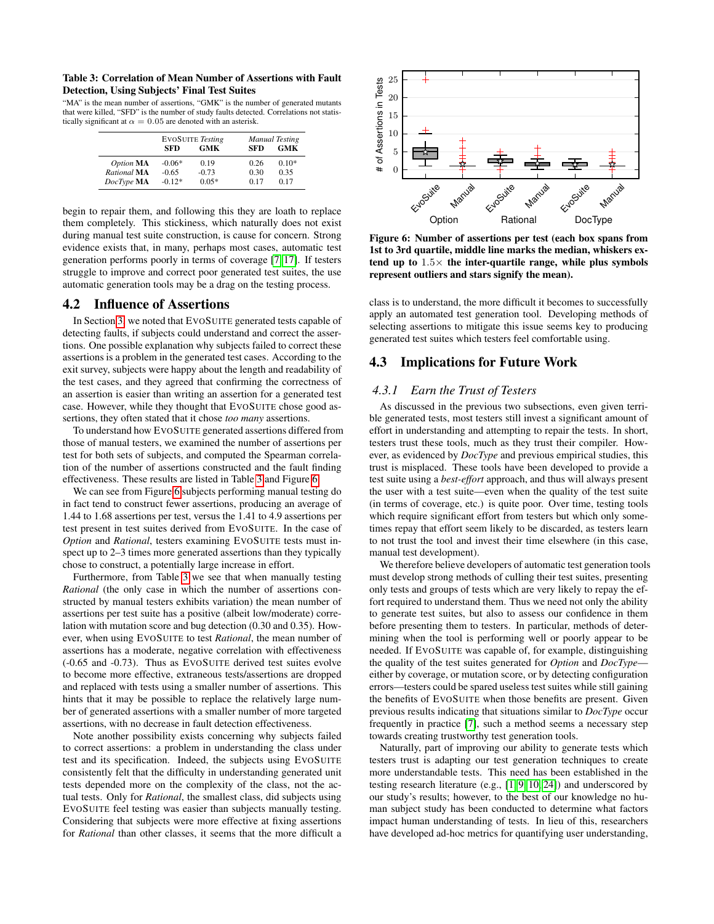#### <span id="page-8-1"></span>Table 3: Correlation of Mean Number of Assertions with Fault Detection, Using Subjects' Final Test Suites

"MA" is the mean number of assertions, "GMK" is the number of generated mutants that were killed, "SFD" is the number of study faults detected. Correlations not statistically significant at  $\alpha = 0.05$  are denoted with an asterisk.

|                    | <b>EVOSUITE</b> Testing |            | <b>Manual Testing</b> |            |  |
|--------------------|-------------------------|------------|-----------------------|------------|--|
|                    | <b>SFD</b>              | <b>GMK</b> | <b>SFD</b>            | <b>GMK</b> |  |
| <b>Option MA</b>   | $-0.06*$                | 0.19       | 0.26                  | $0.10*$    |  |
| <b>Rational MA</b> | $-0.65$                 | $-0.73$    | 0.30                  | 0.35       |  |
| DocType MA         | $-0.12*$                | $0.05*$    | 0.17                  | 0.17       |  |

begin to repair them, and following this they are loath to replace them completely. This stickiness, which naturally does not exist during manual test suite construction, is cause for concern. Strong evidence exists that, in many, perhaps most cases, automatic test generation performs poorly in terms of coverage [\[7,](#page-10-10) [17\]](#page-10-11). If testers struggle to improve and correct poor generated test suites, the use automatic generation tools may be a drag on the testing process.

#### <span id="page-8-0"></span>4.2 Influence of Assertions

In Section [3,](#page-5-1) we noted that EVOSUITE generated tests capable of detecting faults, if subjects could understand and correct the assertions. One possible explanation why subjects failed to correct these assertions is a problem in the generated test cases. According to the exit survey, subjects were happy about the length and readability of the test cases, and they agreed that confirming the correctness of an assertion is easier than writing an assertion for a generated test case. However, while they thought that EVOSUITE chose good assertions, they often stated that it chose *too many* assertions.

To understand how EVOSUITE generated assertions differed from those of manual testers, we examined the number of assertions per test for both sets of subjects, and computed the Spearman correlation of the number of assertions constructed and the fault finding effectiveness. These results are listed in Table [3](#page-8-1) and Figure [6.](#page-8-2)

We can see from Figure [6](#page-8-2) subjects performing manual testing do in fact tend to construct fewer assertions, producing an average of 1.44 to 1.68 assertions per test, versus the 1.41 to 4.9 assertions per test present in test suites derived from EVOSUITE. In the case of *Option* and *Rational*, testers examining EVOSUITE tests must inspect up to 2–3 times more generated assertions than they typically chose to construct, a potentially large increase in effort.

Furthermore, from Table [3](#page-8-1) we see that when manually testing *Rational* (the only case in which the number of assertions constructed by manual testers exhibits variation) the mean number of assertions per test suite has a positive (albeit low/moderate) correlation with mutation score and bug detection (0.30 and 0.35). However, when using EVOSUITE to test *Rational*, the mean number of assertions has a moderate, negative correlation with effectiveness (-0.65 and -0.73). Thus as EVOSUITE derived test suites evolve to become more effective, extraneous tests/assertions are dropped and replaced with tests using a smaller number of assertions. This hints that it may be possible to replace the relatively large number of generated assertions with a smaller number of more targeted assertions, with no decrease in fault detection effectiveness.

Note another possibility exists concerning why subjects failed to correct assertions: a problem in understanding the class under test and its specification. Indeed, the subjects using EVOSUITE consistently felt that the difficulty in understanding generated unit tests depended more on the complexity of the class, not the actual tests. Only for *Rational*, the smallest class, did subjects using EVOSUITE feel testing was easier than subjects manually testing. Considering that subjects were more effective at fixing assertions for *Rational* than other classes, it seems that the more difficult a



<span id="page-8-2"></span>Figure 6: Number of assertions per test (each box spans from 1st to 3rd quartile, middle line marks the median, whiskers extend up to  $1.5\times$  the inter-quartile range, while plus symbols represent outliers and stars signify the mean).

class is to understand, the more difficult it becomes to successfully apply an automated test generation tool. Developing methods of selecting assertions to mitigate this issue seems key to producing generated test suites which testers feel comfortable using.

## 4.3 Implications for Future Work

#### *4.3.1 Earn the Trust of Testers*

As discussed in the previous two subsections, even given terrible generated tests, most testers still invest a significant amount of effort in understanding and attempting to repair the tests. In short, testers trust these tools, much as they trust their compiler. However, as evidenced by *DocType* and previous empirical studies, this trust is misplaced. These tools have been developed to provide a test suite using a *best-effort* approach, and thus will always present the user with a test suite—even when the quality of the test suite (in terms of coverage, etc.) is quite poor. Over time, testing tools which require significant effort from testers but which only sometimes repay that effort seem likely to be discarded, as testers learn to not trust the tool and invest their time elsewhere (in this case, manual test development).

We therefore believe developers of automatic test generation tools must develop strong methods of culling their test suites, presenting only tests and groups of tests which are very likely to repay the effort required to understand them. Thus we need not only the ability to generate test suites, but also to assess our confidence in them before presenting them to testers. In particular, methods of determining when the tool is performing well or poorly appear to be needed. If EVOSUITE was capable of, for example, distinguishing the quality of the test suites generated for *Option* and *DocType* either by coverage, or mutation score, or by detecting configuration errors—testers could be spared useless test suites while still gaining the benefits of EVOSUITE when those benefits are present. Given previous results indicating that situations similar to *DocType* occur frequently in practice [\[7\]](#page-10-10), such a method seems a necessary step towards creating trustworthy test generation tools.

Naturally, part of improving our ability to generate tests which testers trust is adapting our test generation techniques to create more understandable tests. This need has been established in the testing research literature (e.g., [\[1,](#page-10-19) [9,](#page-10-20) [10,](#page-10-6) [24\]](#page-10-21)) and underscored by our study's results; however, to the best of our knowledge no human subject study has been conducted to determine what factors impact human understanding of tests. In lieu of this, researchers have developed ad-hoc metrics for quantifying user understanding,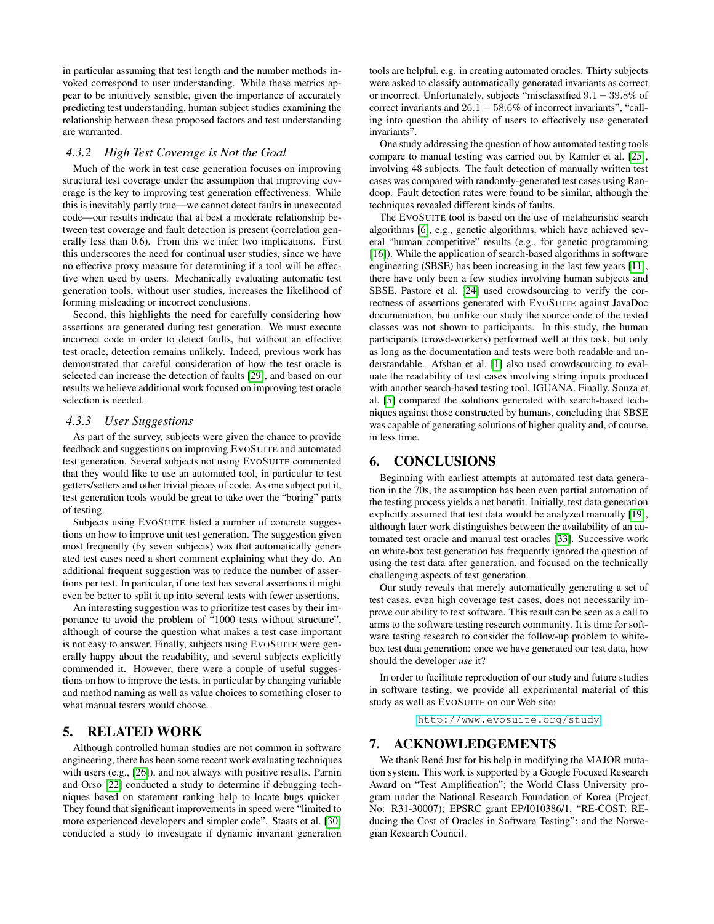in particular assuming that test length and the number methods invoked correspond to user understanding. While these metrics appear to be intuitively sensible, given the importance of accurately predicting test understanding, human subject studies examining the relationship between these proposed factors and test understanding are warranted.

#### *4.3.2 High Test Coverage is Not the Goal*

Much of the work in test case generation focuses on improving structural test coverage under the assumption that improving coverage is the key to improving test generation effectiveness. While this is inevitably partly true—we cannot detect faults in unexecuted code—our results indicate that at best a moderate relationship between test coverage and fault detection is present (correlation generally less than 0.6). From this we infer two implications. First this underscores the need for continual user studies, since we have no effective proxy measure for determining if a tool will be effective when used by users. Mechanically evaluating automatic test generation tools, without user studies, increases the likelihood of forming misleading or incorrect conclusions.

Second, this highlights the need for carefully considering how assertions are generated during test generation. We must execute incorrect code in order to detect faults, but without an effective test oracle, detection remains unlikely. Indeed, previous work has demonstrated that careful consideration of how the test oracle is selected can increase the detection of faults [\[29\]](#page-10-22), and based on our results we believe additional work focused on improving test oracle selection is needed.

#### *4.3.3 User Suggestions*

As part of the survey, subjects were given the chance to provide feedback and suggestions on improving EVOSUITE and automated test generation. Several subjects not using EVOSUITE commented that they would like to use an automated tool, in particular to test getters/setters and other trivial pieces of code. As one subject put it, test generation tools would be great to take over the "boring" parts of testing.

Subjects using EVOSUITE listed a number of concrete suggestions on how to improve unit test generation. The suggestion given most frequently (by seven subjects) was that automatically generated test cases need a short comment explaining what they do. An additional frequent suggestion was to reduce the number of assertions per test. In particular, if one test has several assertions it might even be better to split it up into several tests with fewer assertions.

An interesting suggestion was to prioritize test cases by their importance to avoid the problem of "1000 tests without structure", although of course the question what makes a test case important is not easy to answer. Finally, subjects using EVOSUITE were generally happy about the readability, and several subjects explicitly commended it. However, there were a couple of useful suggestions on how to improve the tests, in particular by changing variable and method naming as well as value choices to something closer to what manual testers would choose.

## 5. RELATED WORK

Although controlled human studies are not common in software engineering, there has been some recent work evaluating techniques with users (e.g., [\[26\]](#page-10-23)), and not always with positive results. Parnin and Orso [\[22\]](#page-10-24) conducted a study to determine if debugging techniques based on statement ranking help to locate bugs quicker. They found that significant improvements in speed were "limited to more experienced developers and simpler code". Staats et al. [\[30\]](#page-10-25) conducted a study to investigate if dynamic invariant generation tools are helpful, e.g. in creating automated oracles. Thirty subjects were asked to classify automatically generated invariants as correct or incorrect. Unfortunately, subjects "misclassified 9.1 − 39.8% of correct invariants and  $26.1 - 58.6\%$  of incorrect invariants", "calling into question the ability of users to effectively use generated invariants".

One study addressing the question of how automated testing tools compare to manual testing was carried out by Ramler et al. [\[25\]](#page-10-26), involving 48 subjects. The fault detection of manually written test cases was compared with randomly-generated test cases using Randoop. Fault detection rates were found to be similar, although the techniques revealed different kinds of faults.

The EVOSUITE tool is based on the use of metaheuristic search algorithms [\[6\]](#page-10-27), e.g., genetic algorithms, which have achieved several "human competitive" results (e.g., for genetic programming [\[16\]](#page-10-28)). While the application of search-based algorithms in software engineering (SBSE) has been increasing in the last few years [\[11\]](#page-10-29), there have only been a few studies involving human subjects and SBSE. Pastore et al. [\[24\]](#page-10-21) used crowdsourcing to verify the correctness of assertions generated with EVOSUITE against JavaDoc documentation, but unlike our study the source code of the tested classes was not shown to participants. In this study, the human participants (crowd-workers) performed well at this task, but only as long as the documentation and tests were both readable and understandable. Afshan et al. [\[1\]](#page-10-19) also used crowdsourcing to evaluate the readability of test cases involving string inputs produced with another search-based testing tool, IGUANA. Finally, Souza et al. [\[5\]](#page-10-30) compared the solutions generated with search-based techniques against those constructed by humans, concluding that SBSE was capable of generating solutions of higher quality and, of course, in less time.

#### 6. CONCLUSIONS

Beginning with earliest attempts at automated test data generation in the 70s, the assumption has been even partial automation of the testing process yields a net benefit. Initially, test data generation explicitly assumed that test data would be analyzed manually [\[19\]](#page-10-31), although later work distinguishes between the availability of an automated test oracle and manual test oracles [\[33\]](#page-10-32). Successive work on white-box test generation has frequently ignored the question of using the test data after generation, and focused on the technically challenging aspects of test generation.

Our study reveals that merely automatically generating a set of test cases, even high coverage test cases, does not necessarily improve our ability to test software. This result can be seen as a call to arms to the software testing research community. It is time for software testing research to consider the follow-up problem to whitebox test data generation: once we have generated our test data, how should the developer *use* it?

In order to facilitate reproduction of our study and future studies in software testing, we provide all experimental material of this study as well as EVOSUITE on our Web site:

<http://www.evosuite.org/study>

## 7. ACKNOWLEDGEMENTS

We thank René Just for his help in modifying the MAJOR mutation system. This work is supported by a Google Focused Research Award on "Test Amplification"; the World Class University program under the National Research Foundation of Korea (Project No: R31-30007); EPSRC grant EP/I010386/1, "RE-COST: REducing the Cost of Oracles in Software Testing"; and the Norwegian Research Council.